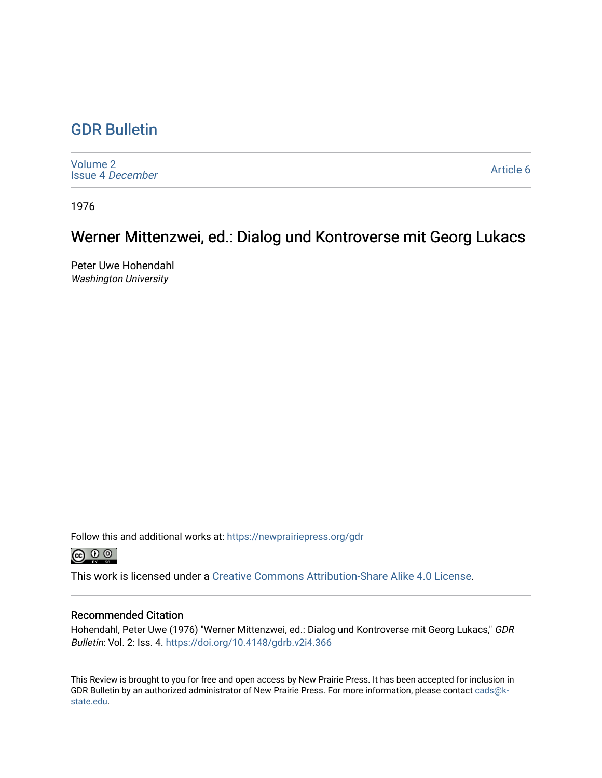### [GDR Bulletin](https://newprairiepress.org/gdr)

[Volume 2](https://newprairiepress.org/gdr/vol2) [Issue 4](https://newprairiepress.org/gdr/vol2/iss4) December

[Article 6](https://newprairiepress.org/gdr/vol2/iss4/6) 

1976

## Werner Mittenzwei, ed.: Dialog und Kontroverse mit Georg Lukacs

Peter Uwe Hohendahl Washington University

Follow this and additional works at: [https://newprairiepress.org/gdr](https://newprairiepress.org/gdr?utm_source=newprairiepress.org%2Fgdr%2Fvol2%2Fiss4%2F6&utm_medium=PDF&utm_campaign=PDFCoverPages) 



This work is licensed under a [Creative Commons Attribution-Share Alike 4.0 License.](https://creativecommons.org/licenses/by-sa/4.0/)

#### Recommended Citation

Hohendahl, Peter Uwe (1976) "Werner Mittenzwei, ed.: Dialog und Kontroverse mit Georg Lukacs," GDR Bulletin: Vol. 2: Iss. 4. <https://doi.org/10.4148/gdrb.v2i4.366>

This Review is brought to you for free and open access by New Prairie Press. It has been accepted for inclusion in GDR Bulletin by an authorized administrator of New Prairie Press. For more information, please contact [cads@k](mailto:cads@k-state.edu)[state.edu](mailto:cads@k-state.edu).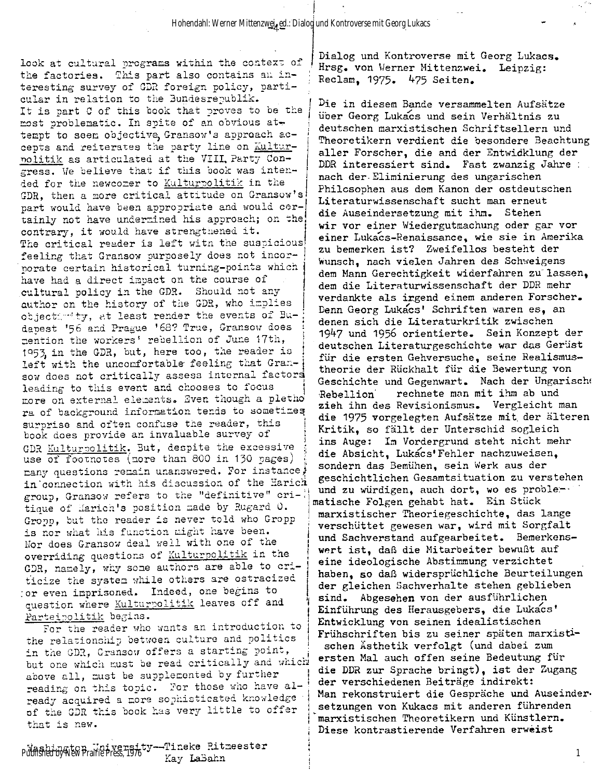look at cultural programs within the context of the factories. This part also contains an interesting survey of GDR foreign policy, particular in relation to the Bundesrepublik. It is part C of this book that proves to be the most problematic. In spite of an obvious attempt to seem objective, Gransow's approach accepts and reiterates the party line on Kulturpolitik as articulated at the VIII. Party Congress. We believe that if this book was intended for the newcomer to Kulturpolitik in the GDR, then a more critical attitude on Gransow's part would have been appropriate and would certainly not have undermined his approach; on the! contrary, it would have strengthened it. The critical reader is left witn the suspicious! feeling that Gransow purposely does not incorporate certain historical turning-points which have had a direct impact on the course of cultural policy in the GDR. Should not any author on the history of the GDR, who implies object: ity, at least render the events of Budapest '56 and Prague '68? True, Gransow does mention the workers' rebellion of June 17th, 1953, in the GDR, but, here too, the reader is left with the uncomfortable feeling that Gran-} sow does not critically assess internal factors leading to this event and chooses to focus more on external elements. Even though a pletho r a of background information tends to sometimes surprise and often confuse the reader, this surprise and often confuse the reader, this book does provide an invaluable survey of GOOK GOES DROVIGE AN INVALUANCE SULVOY OF GDR <u>AULGIFOOLIGIK</u>. Dub, despree whe excessive use of footnotes (more than 800 in 130 pages) nany questions remain unanswered. For instance, in connection with his discussion of the Harich group, Gransow refers to the "definitive" critique of Harich's position made by Rugard O. Gropp, but the reader is never told who Gropp is nor what his function might have been. Nor does Gransow deal well with one of the overriding questions of Kulturpolitik in the GDR, namely, why some authors are able to criticize the system while others are ostracized or even imprisoned. Indeed, one begins to question where **Kulturpolitik** leaves off and<br>Parteipolitik begins.

For the reader who wants an introduction to the relationship between culture and politics in the GDR, Gransow offers a starting point, but one which must be read critically and which above all, must be supplemented by further reading on this topic. For those who have already acquired a more sophisticated knowledge of the GDR this book has very little to offer that is new.

Washington University--Tineke Ritmeester j Published by New Prairie Press, 1976

Dialog und Kontroverse mit Georg Lukacs. Hrsg. von Werner Mittenzwei. Leipzig : Reclam, 1975. 475 Seiten .

Die in diesem Bande versammelten Aufsätze über Georg Lukacs und sein Verhältnis zu deutschen marxistischen Schriftsellern und Theoretikern verdient die besondere Beachtung aller Forscher, die and der Entwicklung der DDR interessiert sind. Fast zwanzig Jahre : nach der Eliminierung des ungarischen Philosophen aus dem Kanon der ostdeutschen Literaturwissenschaft sucht man erneut die Auseindersetzung mit ihm. Stehen wir vor einer Wiedergutmachung oder gar vor einer Lukacs-Renaissance, wie sie in Amerika zu bemerken ist? Zweifellos besteht der Wunsch, nach vielen Jahren des Schweigens dem Mann Gerechtigkeit widerfahren zu"lassen, dem die Literaturwissenschaft der DDR mehr verdankte als irgend einem anderen Forscher. Denn Georg Lukacs' Schriften waren es, an denen sich die Literaturkritik zwischen 1947 und 1956 orientierte . Sein Konzept der deutschen Literaturgeschichte war das Gerüst für die ersten Gehversuche, seine Realismustheorie der Rückhalt für die Bewertung von Geschichte und Gegenwart. Nach der Ungarisch! Rebellion mechnete man mit ihm ab und zieh ihn des Revisionismus. Vergleicht man d ie 1975 vorgelegten Aufsätze mit. der älteren Kritik, so fällt der Unterschid sogleich ins Auge: Im Vordergrund steht nicht mehr die Absicht, Lukacs'Fehler nachzuweisen, sondern das Bemühen, sein Werk aus der geschichtlichen Gesamtsituation zu verstehen und zu würdigen, auch dort, wo es proble-matische Folgen gehabt hat. Ein Stück marxistischer Theoriegeschichte, das lange verschüttet gewesen war, wird mit Sorgfalt und Sachverstand aufgearbeitet. Bemerkenswert ist, daß die Mitarbeiter bewußt auf eine ideologische Abstimmung verzichtet haben, so daß widersprüchliche Beurteilungen der gleichen Sachverhalte stehen geblieben sind. Abgesehen von der ausführlichen Einführung des Herausgebers, die Lukacs' Entwicklung von seinen idealistischen Frühschriften bis zu seiner späten marxistischen Ästhetik verfolgt (und dabei zum ersten Mal auch offen seine Bedeutung für die DDR zur Sprache bringt), ist der Zugang der verschiedenen Beiträge indirekt : Man rekonstruiert die Gespräche und Auseindersetzungen von Kukacs mit anderen führenden marxistischen Theoretikern und Künstlern. Diese kontrastierende Verfahren erweist

1